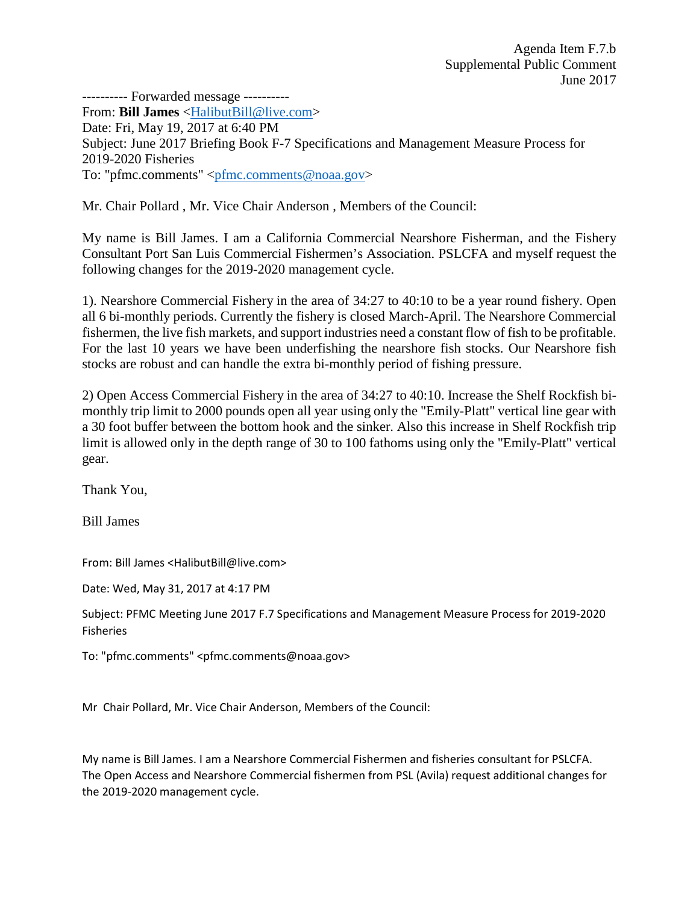---------- Forwarded message ---------- From: **Bill James** [<HalibutBill@live.com>](mailto:HalibutBill@live.com) Date: Fri, May 19, 2017 at 6:40 PM Subject: June 2017 Briefing Book F-7 Specifications and Management Measure Process for 2019-2020 Fisheries To: "pfmc.comments" [<pfmc.comments@noaa.gov>](mailto:pfmc.comments@noaa.gov)

Mr. Chair Pollard , Mr. Vice Chair Anderson , Members of the Council:

My name is Bill James. I am a California Commercial Nearshore Fisherman, and the Fishery Consultant Port San Luis Commercial Fishermen's Association. PSLCFA and myself request the following changes for the 2019-2020 management cycle.

1). Nearshore Commercial Fishery in the area of 34:27 to 40:10 to be a year round fishery. Open all 6 bi-monthly periods. Currently the fishery is closed March-April. The Nearshore Commercial fishermen, the live fish markets, and support industries need a constant flow of fish to be profitable. For the last 10 years we have been underfishing the nearshore fish stocks. Our Nearshore fish stocks are robust and can handle the extra bi-monthly period of fishing pressure.

2) Open Access Commercial Fishery in the area of 34:27 to 40:10. Increase the Shelf Rockfish bimonthly trip limit to 2000 pounds open all year using only the "Emily-Platt" vertical line gear with a 30 foot buffer between the bottom hook and the sinker. Also this increase in Shelf Rockfish trip limit is allowed only in the depth range of 30 to 100 fathoms using only the "Emily-Platt" vertical gear.

Thank You,

Bill James

From: Bill James <HalibutBill@live.com>

Date: Wed, May 31, 2017 at 4:17 PM

Subject: PFMC Meeting June 2017 F.7 Specifications and Management Measure Process for 2019-2020 Fisheries

To: "pfmc.comments" <pfmc.comments@noaa.gov>

Mr Chair Pollard, Mr. Vice Chair Anderson, Members of the Council:

My name is Bill James. I am a Nearshore Commercial Fishermen and fisheries consultant for PSLCFA. The Open Access and Nearshore Commercial fishermen from PSL (Avila) request additional changes for the 2019-2020 management cycle.